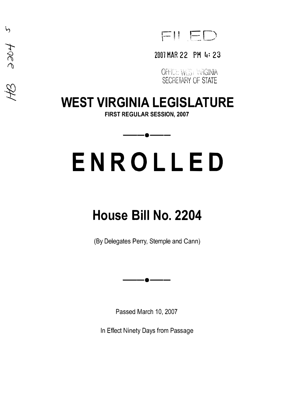$FII E D$ 

### 2001 HAR 22 PM 4: 23

OFHC: W.S. VRGINIA SECRETARY OF STATE

## **WEST VIRGINIA LEGISLATURE**

'n

træe

 $\mathscr{Z}$ 

**FIRST REGULAR SESSION, 2007** 

——**•**——

# **ENROLLED**

# **House Bill No. 2204**

(By Delegates Perry, Stemple and Cann)

--•--

Passed March 10, 2007

In Effect Ninety Days from Passage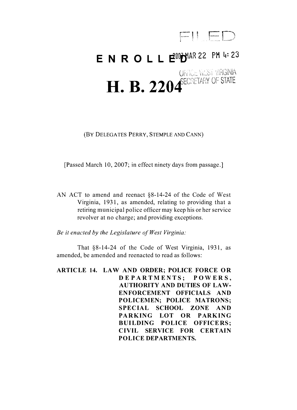

## **ENROLLE<sup>00</sup>D**MAR 22 PM 4:23 OFFICE WEST VIRGINIA **H. B. 2204** ECRETARY OF STATE

(BY DELEGATES PERRY, STEMPLE AND CANN)

[Passed March 10, 2007; in effect ninety days from passage.]

AN ACT to amend and reenact §8-14-24 of the Code of West Virginia, 1931, as amended, relating to providing that a retiring municipal police officer may keep his or her service revolver at no charge; and providing exceptions.

*Be it enacted by the Legislature of West Virginia:* 

That §8-14-24 of the Code of West Virginia, 1931, as amended, be amended and reenacted to read as follows:

**ARTICLE 14. LAW AND ORDER; POLICE FORCE OR DEP ART M E NTS; P OWE R S, AUTHORITY AND DUTIES OF LAW-ENFORCEMENT OFFICIALS AND POLICEMEN; POLICE MATRONS; SPECIAL SCHOOL ZONE AND PARKING LOT OR PARKING BUILDING POLICE OFFICERS; CIVIL SERVICE FOR CERTAIN POLICE DEPARTMENTS.**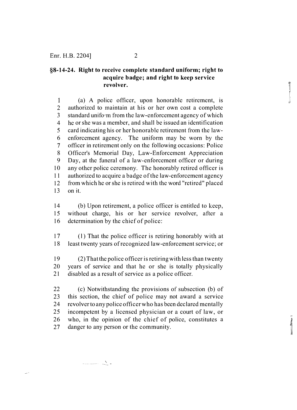#### **§8-14-24. Right to receive complete standard uniform; right to acquire badge; and right to keep service revolver.**

 $\frac{1}{2}$ 

 $\mathbf{1}$ (a) A police officer, upon honorable retirement, is 2 authorized to maintain at his or her own cost a complete 3 standard uniform from the law-enforcement agency of which 4 he or she was a member, and shall be issued an identification 5 card indicating his or her honorable retirement from the law-6 enforcement agency. The uniform may be worn by the 7 officer in retirement only on the following occasions: Police 8 Officer's Memorial Day, Law-Enforcement Appreciation 9 Day, at the funeral of a law-enforcement officer or during 10 any other police ceremony. The honorably retired officer is 11 authorized to acquire a badge of the law-enforcement agency 12 from which he or she is retired with the word "retired" placed  $13$  on it.

14 (b) Upon retirement, a police officer is entitled to keep, 15 without charge, his or her service revolver, after a 16 determination by the chief of police:

17 ( l) That the police officer is retiring honorably with at 18 least twenty years of recognized law-enforcement service; or

19 (2) That the police officer is retiring with less than twenty 20 years of service and that he or she is totally physically 21 disabled as a result of service as a police officer.

22 ( c) Notwithstanding the provisions of subsection (b) of 23 this section, the chief of police may not award a service 24 revolver to any police officer who has been declared mentally 25 incompetent by a licensed physician or a court of law, or 26 who, in the opinion of the chief of police, constitutes a 27 danger to any person or the community.

المستحصل المتعلقة المستحدة

لأبيد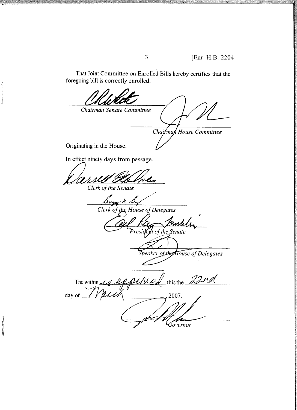That Joint Committee on Enrolled Bills hereby certifies that the foregoing bill is correctly enrolled.

 $\overline{3}$ 

Chairman Senate Committee Chairman House Committee Originating in the House. In effect ninety days from passage. Clerk of the Senate r m. v. Clerk of the House of Delegates mh President of the Senate Speaker of the House of Delegates this the 22nd The within day of 2007. Governor